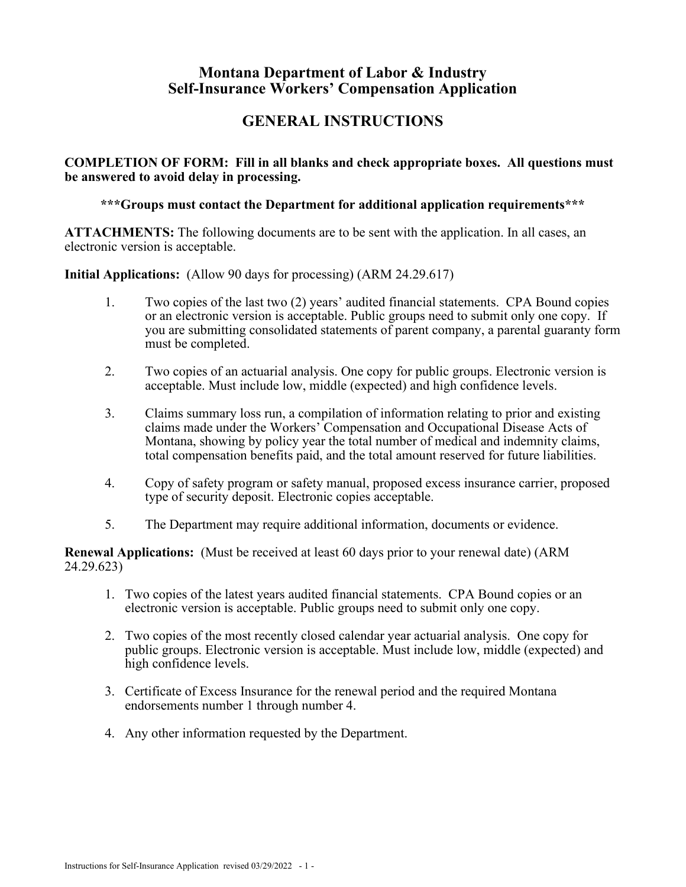# **Montana Department of Labor & Industry Self-Insurance Workers' Compensation Application**

# **GENERAL INSTRUCTIONS**

**COMPLETION OF FORM: Fill in all blanks and check appropriate boxes. All questions must be answered to avoid delay in processing.** 

**\*\*\*Groups must contact the Department for additional application requirements\*\*\***

**ATTACHMENTS:** The following documents are to be sent with the application. In all cases, an electronic version is acceptable.

**Initial Applications:** (Allow 90 days for processing) (ARM 24.29.617)

- 1. Two copies of the last two (2) years' audited financial statements. CPA Bound copies or an electronic version is acceptable. Public groups need to submit only one copy. If you are submitting consolidated statements of parent company, a parental guaranty form must be completed.
- 2. Two copies of an actuarial analysis. One copy for public groups. Electronic version is acceptable. Must include low, middle (expected) and high confidence levels.
- 3. Claims summary loss run, a compilation of information relating to prior and existing claims made under the Workers' Compensation and Occupational Disease Acts of Montana, showing by policy year the total number of medical and indemnity claims, total compensation benefits paid, and the total amount reserved for future liabilities.
- 4. Copy of safety program or safety manual, proposed excess insurance carrier, proposed type of security deposit. Electronic copies acceptable.
- 5. The Department may require additional information, documents or evidence.

**Renewal Applications:** (Must be received at least 60 days prior to your renewal date) (ARM 24.29.623)

- 1. Two copies of the latest years audited financial statements. CPA Bound copies or an electronic version is acceptable. Public groups need to submit only one copy.
- 2. Two copies of the most recently closed calendar year actuarial analysis. One copy for public groups. Electronic version is acceptable. Must include low, middle (expected) and high confidence levels.
- 3. Certificate of Excess Insurance for the renewal period and the required Montana endorsements number 1 through number 4.
- 4. Any other information requested by the Department.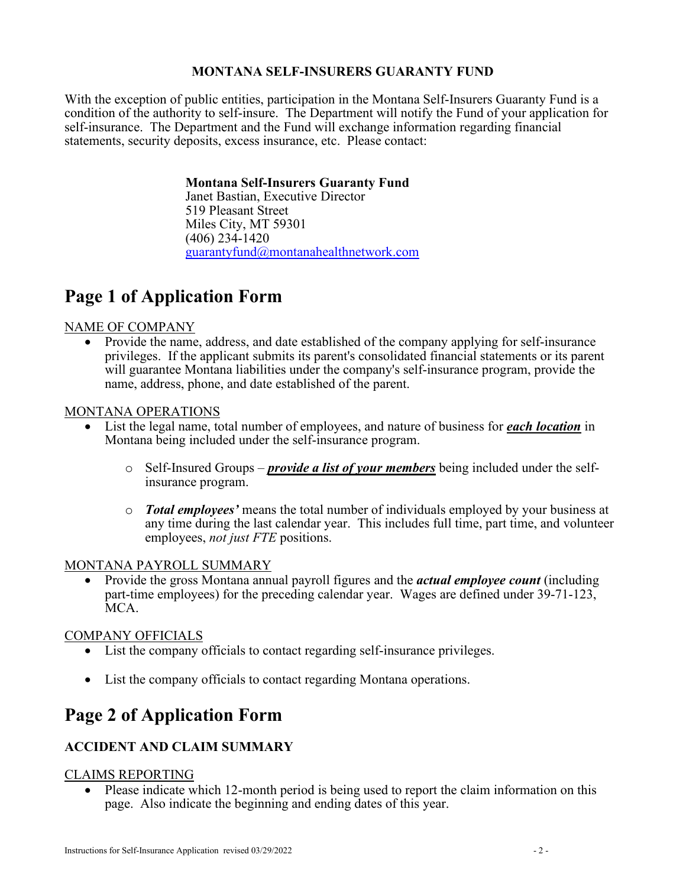# **MONTANA SELF-INSURERS GUARANTY FUND**

With the exception of public entities, participation in the Montana Self-Insurers Guaranty Fund is a condition of the authority to self-insure. The Department will notify the Fund of your application for self-insurance. The Department and the Fund will exchange information regarding financial statements, security deposits, excess insurance, etc. Please contact:

#### **Montana Self-Insurers Guaranty Fund**

Janet Bastian, Executive Director 519 Pleasant Street Miles City, MT 59301 (406) 234-1420 [guarantyfund@montanahealthnetwork.com](mailto:guarantyfund@montanahealthnetwork.com)

# **Page 1 of Application Form**

#### NAME OF COMPANY

• Provide the name, address, and date established of the company applying for self-insurance privileges. If the applicant submits its parent's consolidated financial statements or its parent will guarantee Montana liabilities under the company's self-insurance program, provide the name, address, phone, and date established of the parent.

#### MONTANA OPERATIONS

- List the legal name, total number of employees, and nature of business for *each location* in Montana being included under the self-insurance program.
	- o Self-Insured Groups *provide a list of your members* being included under the selfinsurance program.
	- o *Total employees'* means the total number of individuals employed by your business at any time during the last calendar year. This includes full time, part time, and volunteer employees, *not just FTE* positions.

#### MONTANA PAYROLL SUMMARY

• Provide the gross Montana annual payroll figures and the *actual employee count* (including part-time employees) for the preceding calendar year. Wages are defined under 39-71-123, MCA.

# COMPANY OFFICIALS

- List the company officials to contact regarding self-insurance privileges.
- List the company officials to contact regarding Montana operations.

# **Page 2 of Application Form**

# **ACCIDENT AND CLAIM SUMMARY**

#### CLAIMS REPORTING

• Please indicate which 12-month period is being used to report the claim information on this page. Also indicate the beginning and ending dates of this year.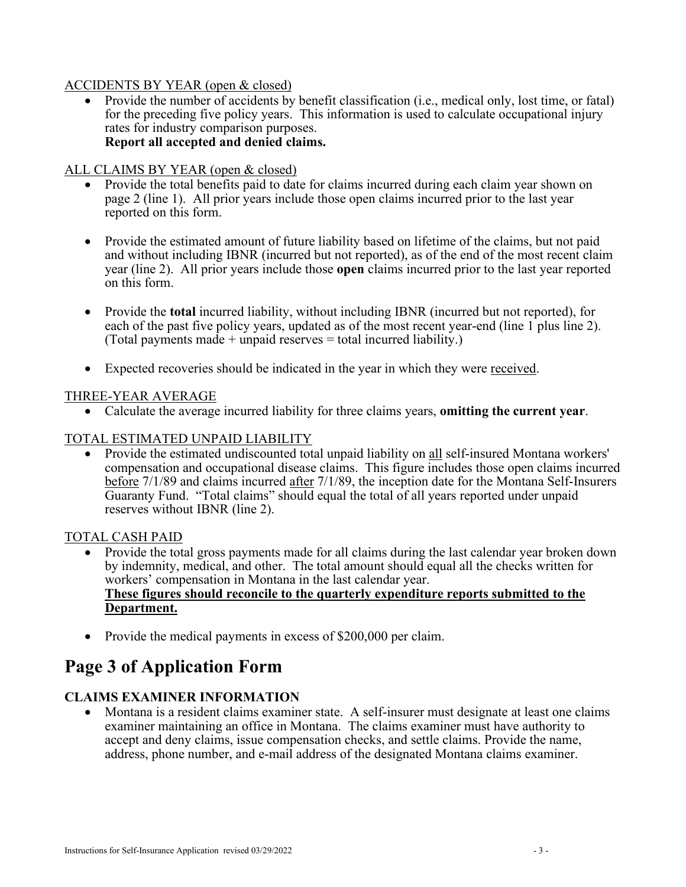#### ACCIDENTS BY YEAR (open & closed)

• Provide the number of accidents by benefit classification (i.e., medical only, lost time, or fatal) for the preceding five policy years. This information is used to calculate occupational injury rates for industry comparison purposes. **Report all accepted and denied claims.**

### ALL CLAIMS BY YEAR (open & closed)

- Provide the total benefits paid to date for claims incurred during each claim year shown on page 2 (line 1). All prior years include those open claims incurred prior to the last year reported on this form.
- Provide the estimated amount of future liability based on lifetime of the claims, but not paid and without including IBNR (incurred but not reported), as of the end of the most recent claim year (line 2). All prior years include those **open** claims incurred prior to the last year reported on this form.
- Provide the **total** incurred liability, without including IBNR (incurred but not reported), for each of the past five policy years, updated as of the most recent year-end (line 1 plus line 2). (Total payments made  $+$  unpaid reserves  $=$  total incurred liability.)
- Expected recoveries should be indicated in the year in which they were received.

#### THREE-YEAR AVERAGE

• Calculate the average incurred liability for three claims years, **omitting the current year**.

### TOTAL ESTIMATED UNPAID LIABILITY

• Provide the estimated undiscounted total unpaid liability on all self-insured Montana workers' compensation and occupational disease claims. This figure includes those open claims incurred before 7/1/89 and claims incurred after 7/1/89, the inception date for the Montana Self-Insurers Guaranty Fund. "Total claims" should equal the total of all years reported under unpaid reserves without IBNR (line 2).

#### TOTAL CASH PAID

- Provide the total gross payments made for all claims during the last calendar year broken down by indemnity, medical, and other. The total amount should equal all the checks written for workers' compensation in Montana in the last calendar year. **These figures should reconcile to the quarterly expenditure reports submitted to the Department.**
- Provide the medical payments in excess of \$200,000 per claim.

# **Page 3 of Application Form**

# **CLAIMS EXAMINER INFORMATION**

• Montana is a resident claims examiner state. A self-insurer must designate at least one claims examiner maintaining an office in Montana. The claims examiner must have authority to accept and deny claims, issue compensation checks, and settle claims. Provide the name, address, phone number, and e-mail address of the designated Montana claims examiner.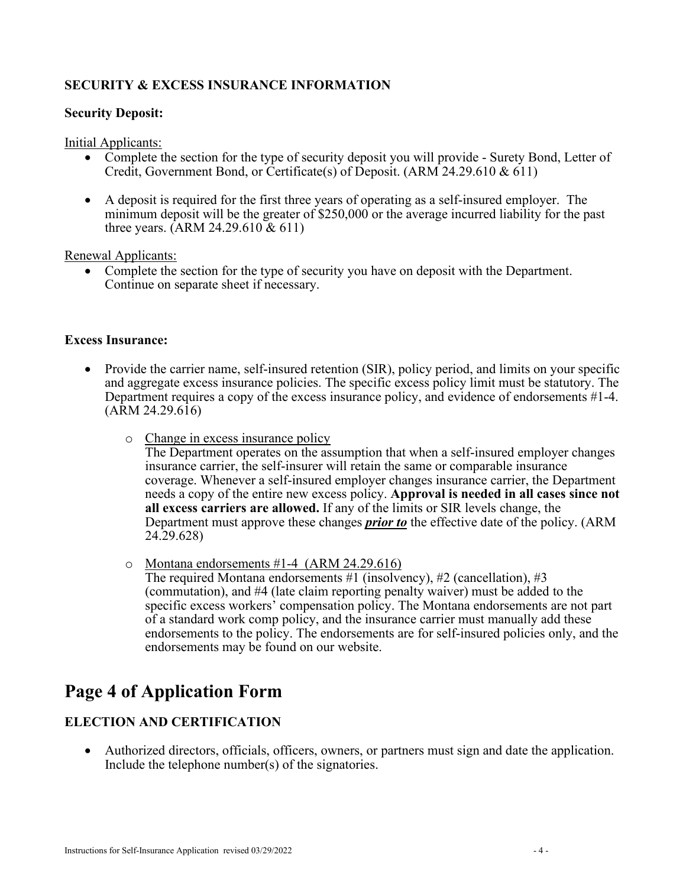# **SECURITY & EXCESS INSURANCE INFORMATION**

#### **Security Deposit:**

Initial Applicants:

- Complete the section for the type of security deposit you will provide Surety Bond, Letter of Credit, Government Bond, or Certificate(s) of Deposit. (ARM 24.29.610 & 611)
- A deposit is required for the first three years of operating as a self-insured employer. The minimum deposit will be the greater of \$250,000 or the average incurred liability for the past three years. (ARM 24.29.610 & 611)

Renewal Applicants:

• Complete the section for the type of security you have on deposit with the Department. Continue on separate sheet if necessary.

#### **Excess Insurance:**

- Provide the carrier name, self-insured retention (SIR), policy period, and limits on your specific and aggregate excess insurance policies. The specific excess policy limit must be statutory. The Department requires a copy of the excess insurance policy, and evidence of endorsements #1-4. (ARM 24.29.616)
	- o Change in excess insurance policy

The Department operates on the assumption that when a self-insured employer changes insurance carrier, the self-insurer will retain the same or comparable insurance coverage. Whenever a self-insured employer changes insurance carrier, the Department needs a copy of the entire new excess policy. **Approval is needed in all cases since not all excess carriers are allowed.** If any of the limits or SIR levels change, the Department must approve these changes *prior to* the effective date of the policy. (ARM 24.29.628)

o Montana endorsements #1-4 (ARM 24.29.616)

The required Montana endorsements #1 (insolvency), #2 (cancellation), #3 (commutation), and #4 (late claim reporting penalty waiver) must be added to the specific excess workers' compensation policy. The Montana endorsements are not part of a standard work comp policy, and the insurance carrier must manually add these endorsements to the policy. The endorsements are for self-insured policies only, and the endorsements may be found on our website.

# **Page 4 of Application Form**

# **ELECTION AND CERTIFICATION**

• Authorized directors, officials, officers, owners, or partners must sign and date the application. Include the telephone number(s) of the signatories.